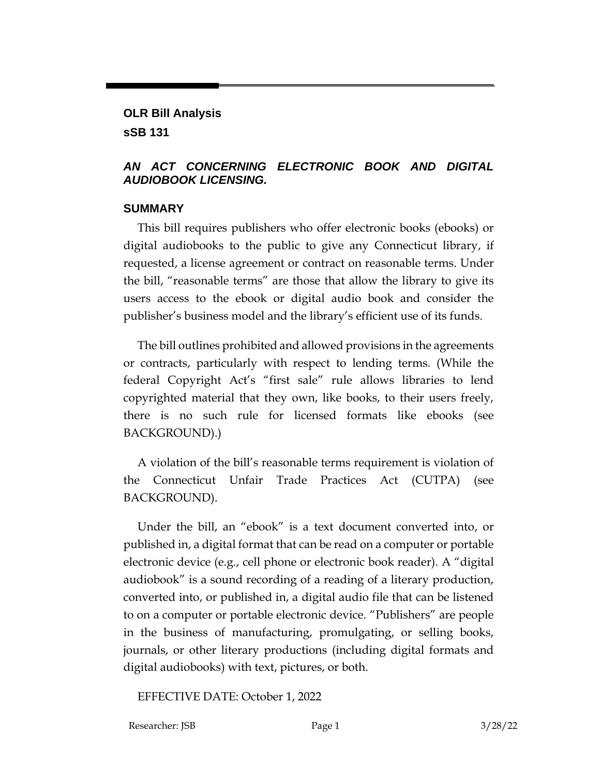# **OLR Bill Analysis**

**sSB 131**

### *AN ACT CONCERNING ELECTRONIC BOOK AND DIGITAL AUDIOBOOK LICENSING.*

#### **SUMMARY**

This bill requires publishers who offer electronic books (ebooks) or digital audiobooks to the public to give any Connecticut library, if requested, a license agreement or contract on reasonable terms. Under the bill, "reasonable terms" are those that allow the library to give its users access to the ebook or digital audio book and consider the publisher's business model and the library's efficient use of its funds.

The bill outlines prohibited and allowed provisions in the agreements or contracts, particularly with respect to lending terms. (While the federal Copyright Act's "first sale" rule allows libraries to lend copyrighted material that they own, like books, to their users freely, there is no such rule for licensed formats like ebooks (see BACKGROUND).)

A violation of the bill's reasonable terms requirement is violation of the Connecticut Unfair Trade Practices Act (CUTPA) (see BACKGROUND).

Under the bill, an "ebook" is a text document converted into, or published in, a digital format that can be read on a computer or portable electronic device (e.g., cell phone or electronic book reader). A "digital audiobook" is a sound recording of a reading of a literary production, converted into, or published in, a digital audio file that can be listened to on a computer or portable electronic device. "Publishers" are people in the business of manufacturing, promulgating, or selling books, journals, or other literary productions (including digital formats and digital audiobooks) with text, pictures, or both.

EFFECTIVE DATE: October 1, 2022

Researcher: JSB Page 1 3/28/22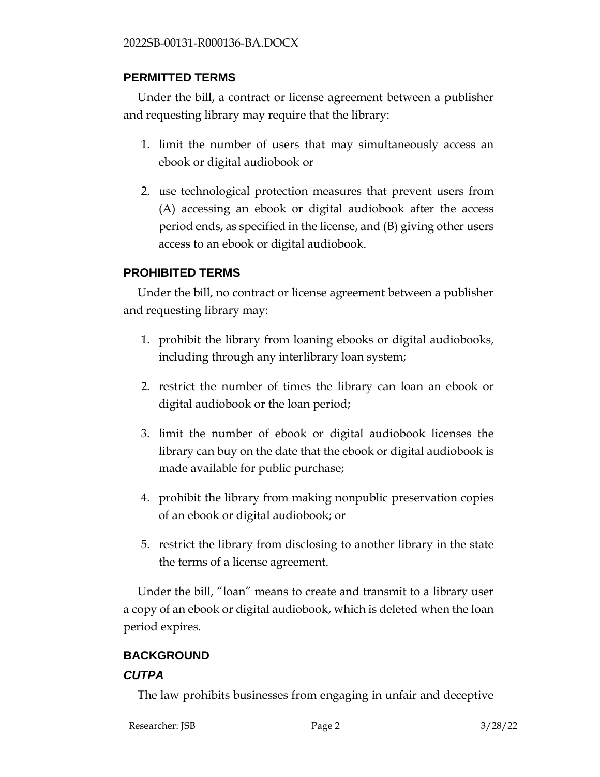#### **PERMITTED TERMS**

Under the bill, a contract or license agreement between a publisher and requesting library may require that the library:

- 1. limit the number of users that may simultaneously access an ebook or digital audiobook or
- 2. use technological protection measures that prevent users from (A) accessing an ebook or digital audiobook after the access period ends, as specified in the license, and (B) giving other users access to an ebook or digital audiobook.

#### **PROHIBITED TERMS**

Under the bill, no contract or license agreement between a publisher and requesting library may:

- 1. prohibit the library from loaning ebooks or digital audiobooks, including through any interlibrary loan system;
- 2. restrict the number of times the library can loan an ebook or digital audiobook or the loan period;
- 3. limit the number of ebook or digital audiobook licenses the library can buy on the date that the ebook or digital audiobook is made available for public purchase;
- 4. prohibit the library from making nonpublic preservation copies of an ebook or digital audiobook; or
- 5. restrict the library from disclosing to another library in the state the terms of a license agreement.

Under the bill, "loan" means to create and transmit to a library user a copy of an ebook or digital audiobook, which is deleted when the loan period expires.

# **BACKGROUND**

#### *CUTPA*

The law prohibits businesses from engaging in unfair and deceptive